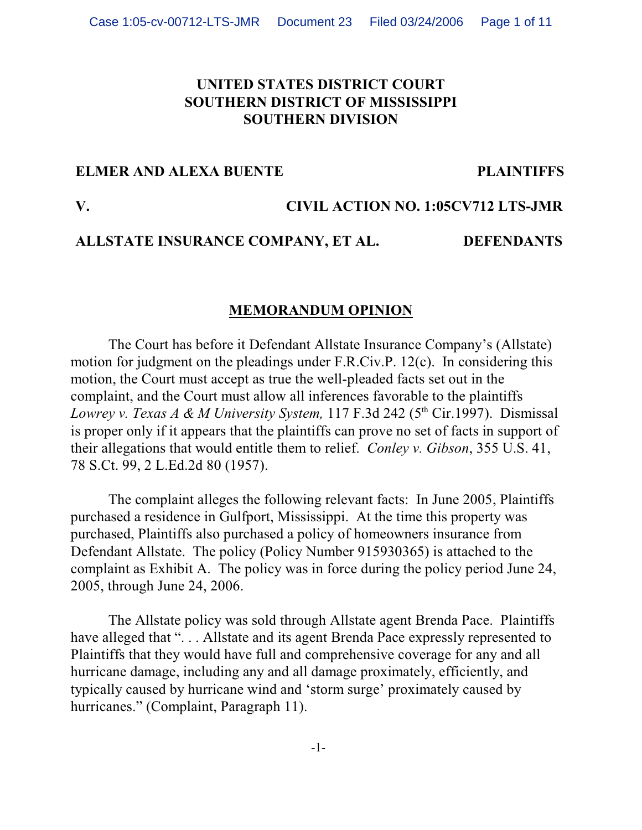# **UNITED STATES DISTRICT COURT SOUTHERN DISTRICT OF MISSISSIPPI SOUTHERN DIVISION**

#### **ELMER AND ALEXA BUENTE PLAINTIFFS**

## **V. CIVIL ACTION NO. 1:05CV712 LTS-JMR**

## **ALLSTATE INSURANCE COMPANY, ET AL. DEFENDANTS**

## **MEMORANDUM OPINION**

The Court has before it Defendant Allstate Insurance Company's (Allstate) motion for judgment on the pleadings under F.R.Civ.P. 12(c). In considering this motion, the Court must accept as true the well-pleaded facts set out in the complaint, and the Court must allow all inferences favorable to the plaintiffs *Lowrey v. Texas A & M University System, 117 F.3d 242 (5<sup>th</sup> Cir.1997). Dismissal* is proper only if it appears that the plaintiffs can prove no set of facts in support of their allegations that would entitle them to relief. *Conley v. Gibson*, 355 U.S. 41, 78 S.Ct. 99, 2 L.Ed.2d 80 (1957).

The complaint alleges the following relevant facts: In June 2005, Plaintiffs purchased a residence in Gulfport, Mississippi. At the time this property was purchased, Plaintiffs also purchased a policy of homeowners insurance from Defendant Allstate. The policy (Policy Number 915930365) is attached to the complaint as Exhibit A. The policy was in force during the policy period June 24, 2005, through June 24, 2006.

The Allstate policy was sold through Allstate agent Brenda Pace. Plaintiffs have alleged that "... Allstate and its agent Brenda Pace expressly represented to Plaintiffs that they would have full and comprehensive coverage for any and all hurricane damage, including any and all damage proximately, efficiently, and typically caused by hurricane wind and 'storm surge' proximately caused by hurricanes." (Complaint, Paragraph 11).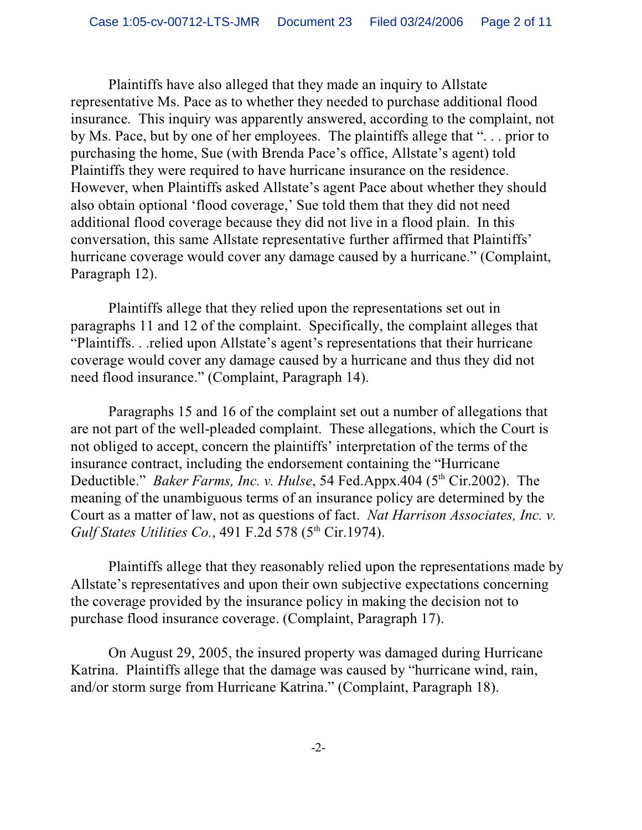Plaintiffs have also alleged that they made an inquiry to Allstate representative Ms. Pace as to whether they needed to purchase additional flood insurance. This inquiry was apparently answered, according to the complaint, not by Ms. Pace, but by one of her employees. The plaintiffs allege that ". . . prior to purchasing the home, Sue (with Brenda Pace's office, Allstate's agent) told Plaintiffs they were required to have hurricane insurance on the residence. However, when Plaintiffs asked Allstate's agent Pace about whether they should also obtain optional 'flood coverage,' Sue told them that they did not need additional flood coverage because they did not live in a flood plain. In this conversation, this same Allstate representative further affirmed that Plaintiffs' hurricane coverage would cover any damage caused by a hurricane." (Complaint, Paragraph 12).

Plaintiffs allege that they relied upon the representations set out in paragraphs 11 and 12 of the complaint. Specifically, the complaint alleges that "Plaintiffs. . .relied upon Allstate's agent's representations that their hurricane coverage would cover any damage caused by a hurricane and thus they did not need flood insurance." (Complaint, Paragraph 14).

Paragraphs 15 and 16 of the complaint set out a number of allegations that are not part of the well-pleaded complaint. These allegations, which the Court is not obliged to accept, concern the plaintiffs' interpretation of the terms of the insurance contract, including the endorsement containing the "Hurricane Deductible." *Baker Farms, Inc. v. Hulse*, 54 Fed.Appx.404 (5<sup>th</sup> Cir.2002). The meaning of the unambiguous terms of an insurance policy are determined by the Court as a matter of law, not as questions of fact. *Nat Harrison Associates, Inc. v. Gulf States Utilities Co.*, 491 F.2d 578 (5<sup>th</sup> Cir.1974).

Plaintiffs allege that they reasonably relied upon the representations made by Allstate's representatives and upon their own subjective expectations concerning the coverage provided by the insurance policy in making the decision not to purchase flood insurance coverage. (Complaint, Paragraph 17).

On August 29, 2005, the insured property was damaged during Hurricane Katrina. Plaintiffs allege that the damage was caused by "hurricane wind, rain, and/or storm surge from Hurricane Katrina." (Complaint, Paragraph 18).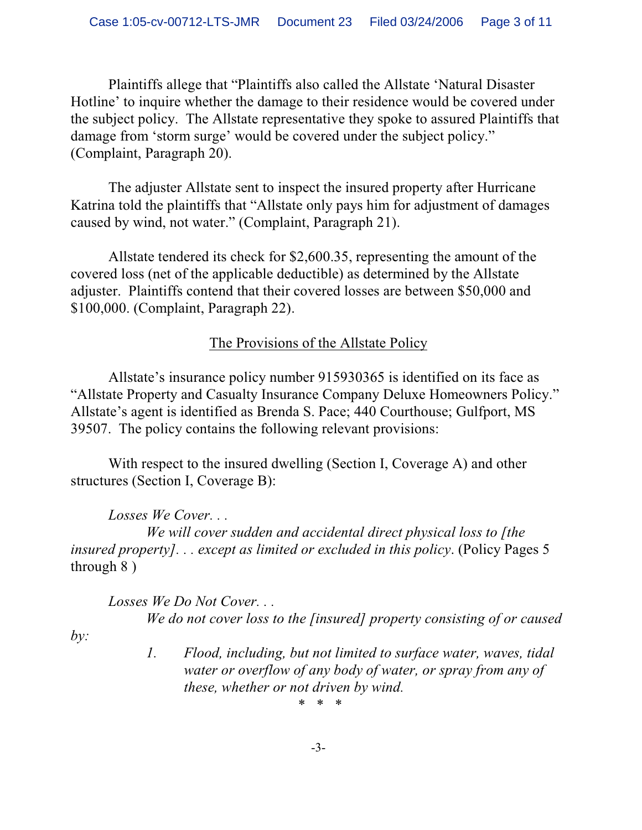Plaintiffs allege that "Plaintiffs also called the Allstate 'Natural Disaster Hotline' to inquire whether the damage to their residence would be covered under the subject policy. The Allstate representative they spoke to assured Plaintiffs that damage from 'storm surge' would be covered under the subject policy." (Complaint, Paragraph 20).

The adjuster Allstate sent to inspect the insured property after Hurricane Katrina told the plaintiffs that "Allstate only pays him for adjustment of damages caused by wind, not water." (Complaint, Paragraph 21).

Allstate tendered its check for \$2,600.35, representing the amount of the covered loss (net of the applicable deductible) as determined by the Allstate adjuster. Plaintiffs contend that their covered losses are between \$50,000 and \$100,000. (Complaint, Paragraph 22).

The Provisions of the Allstate Policy

Allstate's insurance policy number 915930365 is identified on its face as "Allstate Property and Casualty Insurance Company Deluxe Homeowners Policy." Allstate's agent is identified as Brenda S. Pace; 440 Courthouse; Gulfport, MS 39507. The policy contains the following relevant provisions:

With respect to the insured dwelling (Section I, Coverage A) and other structures (Section I, Coverage B):

# *Losses We Cover. . .*

*We will cover sudden and accidental direct physical loss to [the insured property]. . . except as limited or excluded in this policy*. (Policy Pages 5 through 8 )

*Losses We Do Not Cover. . .*

*We do not cover loss to the [insured] property consisting of or caused*

*by:*

*1. Flood, including, but not limited to surface water, waves, tidal water or overflow of any body of water, or spray from any of these, whether or not driven by wind.*

*\* \* \**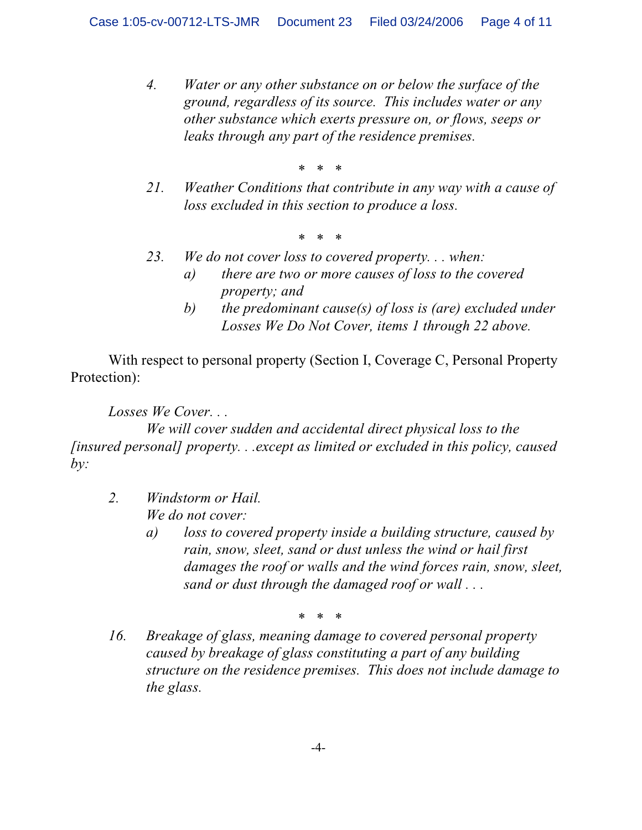*4. Water or any other substance on or below the surface of the ground, regardless of its source. This includes water or any other substance which exerts pressure on, or flows, seeps or leaks through any part of the residence premises.*

*\* \* \**

*21. Weather Conditions that contribute in any way with a cause of loss excluded in this section to produce a loss.*

*\* \* \**

- *23. We do not cover loss to covered property. . . when: a) there are two or more causes of loss to the covered property; and*
	- *b) the predominant cause(s) of loss is (are) excluded under Losses We Do Not Cover, items 1 through 22 above.*

With respect to personal property (Section I, Coverage C, Personal Property Protection):

*Losses We Cover. . .*

*We will cover sudden and accidental direct physical loss to the [insured personal] property. . .except as limited or excluded in this policy, caused by:*

- *2. Windstorm or Hail. We do not cover:*
	- *a) loss to covered property inside a building structure, caused by rain, snow, sleet, sand or dust unless the wind or hail first damages the roof or walls and the wind forces rain, snow, sleet, sand or dust through the damaged roof or wall . . .*

 *\* \* \**

*16. Breakage of glass, meaning damage to covered personal property caused by breakage of glass constituting a part of any building structure on the residence premises. This does not include damage to the glass.*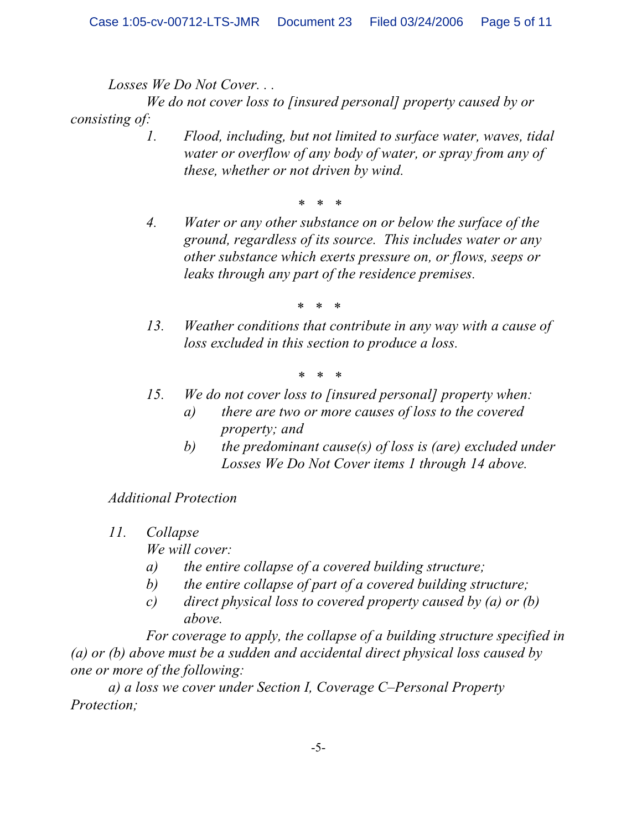*Losses We Do Not Cover. . .*

*We do not cover loss to [insured personal] property caused by or consisting of:*

> *1. Flood, including, but not limited to surface water, waves, tidal water or overflow of any body of water, or spray from any of these, whether or not driven by wind.*

> > *\* \* \**

*4. Water or any other substance on or below the surface of the ground, regardless of its source. This includes water or any other substance which exerts pressure on, or flows, seeps or leaks through any part of the residence premises.*

\* \* \*

*13. Weather conditions that contribute in any way with a cause of loss excluded in this section to produce a loss.*

*\* \* \**

- *15. We do not cover loss to [insured personal] property when:*
	- *a) there are two or more causes of loss to the covered property; and*
	- *b) the predominant cause(s) of loss is (are) excluded under Losses We Do Not Cover items 1 through 14 above.*

# *Additional Protection*

*11. Collapse*

*We will cover:*

- *a) the entire collapse of a covered building structure;*
- *b) the entire collapse of part of a covered building structure;*
- *c) direct physical loss to covered property caused by (a) or (b) above.*

*For coverage to apply, the collapse of a building structure specified in (a) or (b) above must be a sudden and accidental direct physical loss caused by one or more of the following:*

*a) a loss we cover under Section I, Coverage C–Personal Property Protection;*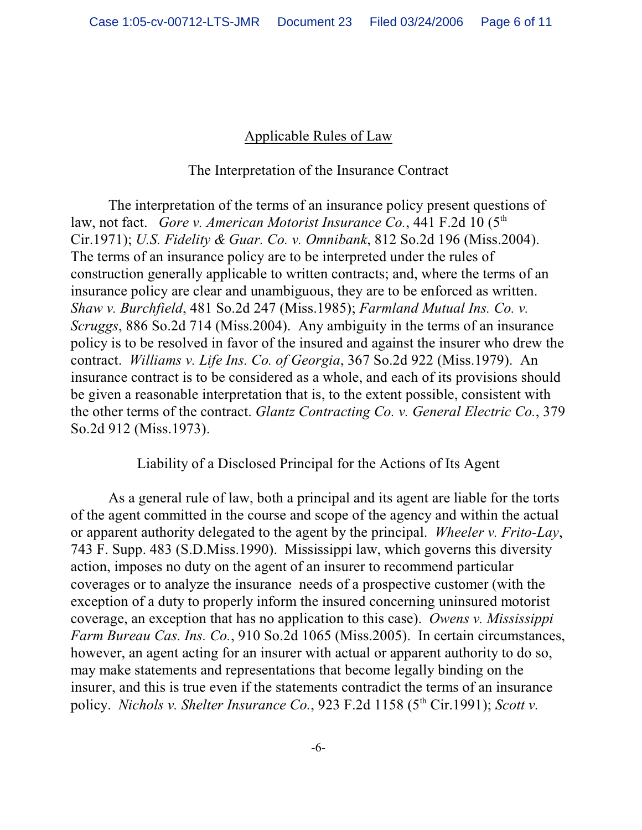# Applicable Rules of Law

# The Interpretation of the Insurance Contract

The interpretation of the terms of an insurance policy present questions of law, not fact. *Gore v. American Motorist Insurance Co.*, 441 F.2d 10 (5<sup>th</sup>) Cir.1971); *U.S. Fidelity & Guar. Co. v. Omnibank*, 812 So.2d 196 (Miss.2004). The terms of an insurance policy are to be interpreted under the rules of construction generally applicable to written contracts; and, where the terms of an insurance policy are clear and unambiguous, they are to be enforced as written. *Shaw v. Burchfield*, 481 So.2d 247 (Miss.1985); *Farmland Mutual Ins. Co. v. Scruggs*, 886 So.2d 714 (Miss.2004). Any ambiguity in the terms of an insurance policy is to be resolved in favor of the insured and against the insurer who drew the contract. *Williams v. Life Ins. Co. of Georgia*, 367 So.2d 922 (Miss.1979). An insurance contract is to be considered as a whole, and each of its provisions should be given a reasonable interpretation that is, to the extent possible, consistent with the other terms of the contract. *Glantz Contracting Co. v. General Electric Co.*, 379 So.2d 912 (Miss.1973).

# Liability of a Disclosed Principal for the Actions of Its Agent

As a general rule of law, both a principal and its agent are liable for the torts of the agent committed in the course and scope of the agency and within the actual or apparent authority delegated to the agent by the principal. *Wheeler v. Frito-Lay*, 743 F. Supp. 483 (S.D.Miss.1990). Mississippi law, which governs this diversity action, imposes no duty on the agent of an insurer to recommend particular coverages or to analyze the insurance needs of a prospective customer (with the exception of a duty to properly inform the insured concerning uninsured motorist coverage, an exception that has no application to this case). *Owens v. Mississippi Farm Bureau Cas. Ins. Co.*, 910 So.2d 1065 (Miss.2005). In certain circumstances, however, an agent acting for an insurer with actual or apparent authority to do so, may make statements and representations that become legally binding on the insurer, and this is true even if the statements contradict the terms of an insurance policy. *Nichols v. Shelter Insurance Co.*, 923 F.2d 1158 (5<sup>th</sup> Cir.1991); *Scott v.*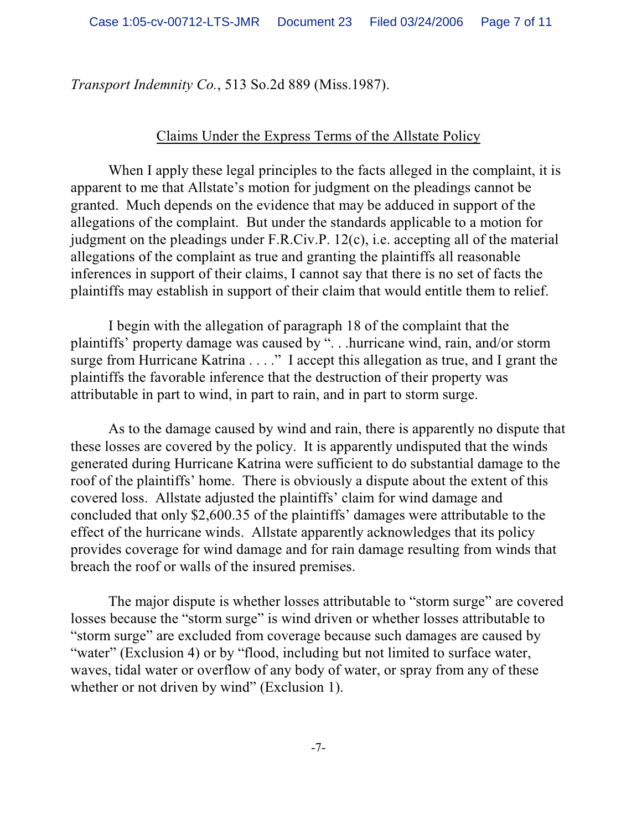*Transport Indemnity Co.*, 513 So.2d 889 (Miss.1987).

# Claims Under the Express Terms of the Allstate Policy

When I apply these legal principles to the facts alleged in the complaint, it is apparent to me that Allstate's motion for judgment on the pleadings cannot be granted. Much depends on the evidence that may be adduced in support of the allegations of the complaint. But under the standards applicable to a motion for judgment on the pleadings under F.R.Civ.P. 12(c), i.e. accepting all of the material allegations of the complaint as true and granting the plaintiffs all reasonable inferences in support of their claims, I cannot say that there is no set of facts the plaintiffs may establish in support of their claim that would entitle them to relief.

I begin with the allegation of paragraph 18 of the complaint that the plaintiffs' property damage was caused by ". . .hurricane wind, rain, and/or storm surge from Hurricane Katrina . . . ." I accept this allegation as true, and I grant the plaintiffs the favorable inference that the destruction of their property was attributable in part to wind, in part to rain, and in part to storm surge.

As to the damage caused by wind and rain, there is apparently no dispute that these losses are covered by the policy. It is apparently undisputed that the winds generated during Hurricane Katrina were sufficient to do substantial damage to the roof of the plaintiffs' home. There is obviously a dispute about the extent of this covered loss. Allstate adjusted the plaintiffs' claim for wind damage and concluded that only \$2,600.35 of the plaintiffs' damages were attributable to the effect of the hurricane winds. Allstate apparently acknowledges that its policy provides coverage for wind damage and for rain damage resulting from winds that breach the roof or walls of the insured premises.

The major dispute is whether losses attributable to "storm surge" are covered losses because the "storm surge" is wind driven or whether losses attributable to "storm surge" are excluded from coverage because such damages are caused by "water" (Exclusion 4) or by "flood, including but not limited to surface water, waves, tidal water or overflow of any body of water, or spray from any of these whether or not driven by wind" (Exclusion 1).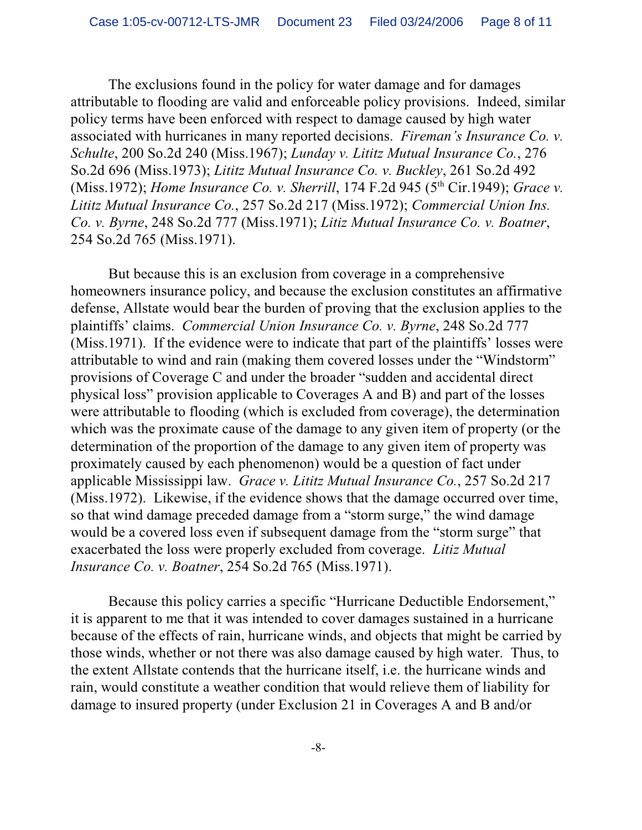The exclusions found in the policy for water damage and for damages attributable to flooding are valid and enforceable policy provisions. Indeed, similar policy terms have been enforced with respect to damage caused by high water associated with hurricanes in many reported decisions. *Fireman's Insurance Co. v. Schulte*, 200 So.2d 240 (Miss.1967); *Lunday v. Lititz Mutual Insurance Co.*, 276 So.2d 696 (Miss.1973); *Lititz Mutual Insurance Co. v. Buckley*, 261 So.2d 492 (Miss.1972); *Home Insurance Co. v. Sherrill*, 174 F.2d 945 (5<sup>th</sup> Cir.1949); *Grace v. Lititz Mutual Insurance Co.*, 257 So.2d 217 (Miss.1972); *Commercial Union Ins. Co. v. Byrne*, 248 So.2d 777 (Miss.1971); *Litiz Mutual Insurance Co. v. Boatner*, 254 So.2d 765 (Miss.1971).

But because this is an exclusion from coverage in a comprehensive homeowners insurance policy, and because the exclusion constitutes an affirmative defense, Allstate would bear the burden of proving that the exclusion applies to the plaintiffs' claims. *Commercial Union Insurance Co. v. Byrne*, 248 So.2d 777 (Miss.1971). If the evidence were to indicate that part of the plaintiffs' losses were attributable to wind and rain (making them covered losses under the "Windstorm" provisions of Coverage C and under the broader "sudden and accidental direct physical loss" provision applicable to Coverages A and B) and part of the losses were attributable to flooding (which is excluded from coverage), the determination which was the proximate cause of the damage to any given item of property (or the determination of the proportion of the damage to any given item of property was proximately caused by each phenomenon) would be a question of fact under applicable Mississippi law. *Grace v. Lititz Mutual Insurance Co.*, 257 So.2d 217 (Miss.1972). Likewise, if the evidence shows that the damage occurred over time, so that wind damage preceded damage from a "storm surge," the wind damage would be a covered loss even if subsequent damage from the "storm surge" that exacerbated the loss were properly excluded from coverage. *Litiz Mutual Insurance Co. v. Boatner*, 254 So.2d 765 (Miss.1971).

Because this policy carries a specific "Hurricane Deductible Endorsement," it is apparent to me that it was intended to cover damages sustained in a hurricane because of the effects of rain, hurricane winds, and objects that might be carried by those winds, whether or not there was also damage caused by high water. Thus, to the extent Allstate contends that the hurricane itself, i.e. the hurricane winds and rain, would constitute a weather condition that would relieve them of liability for damage to insured property (under Exclusion 21 in Coverages A and B and/or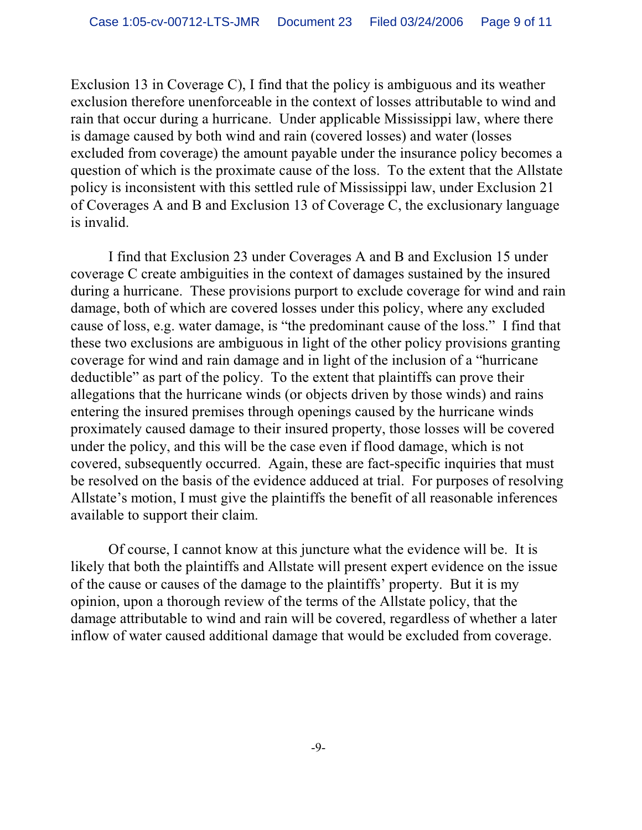Exclusion 13 in Coverage C), I find that the policy is ambiguous and its weather exclusion therefore unenforceable in the context of losses attributable to wind and rain that occur during a hurricane. Under applicable Mississippi law, where there is damage caused by both wind and rain (covered losses) and water (losses excluded from coverage) the amount payable under the insurance policy becomes a question of which is the proximate cause of the loss. To the extent that the Allstate policy is inconsistent with this settled rule of Mississippi law, under Exclusion 21 of Coverages A and B and Exclusion 13 of Coverage C, the exclusionary language is invalid.

I find that Exclusion 23 under Coverages A and B and Exclusion 15 under coverage C create ambiguities in the context of damages sustained by the insured during a hurricane. These provisions purport to exclude coverage for wind and rain damage, both of which are covered losses under this policy, where any excluded cause of loss, e.g. water damage, is "the predominant cause of the loss." I find that these two exclusions are ambiguous in light of the other policy provisions granting coverage for wind and rain damage and in light of the inclusion of a "hurricane deductible" as part of the policy. To the extent that plaintiffs can prove their allegations that the hurricane winds (or objects driven by those winds) and rains entering the insured premises through openings caused by the hurricane winds proximately caused damage to their insured property, those losses will be covered under the policy, and this will be the case even if flood damage, which is not covered, subsequently occurred. Again, these are fact-specific inquiries that must be resolved on the basis of the evidence adduced at trial. For purposes of resolving Allstate's motion, I must give the plaintiffs the benefit of all reasonable inferences available to support their claim.

Of course, I cannot know at this juncture what the evidence will be. It is likely that both the plaintiffs and Allstate will present expert evidence on the issue of the cause or causes of the damage to the plaintiffs' property. But it is my opinion, upon a thorough review of the terms of the Allstate policy, that the damage attributable to wind and rain will be covered, regardless of whether a later inflow of water caused additional damage that would be excluded from coverage.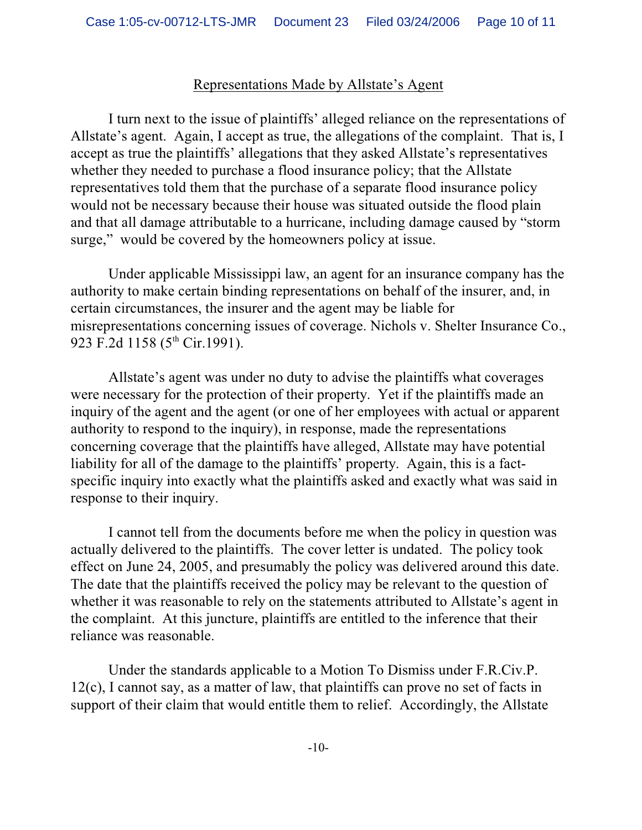# Representations Made by Allstate's Agent

I turn next to the issue of plaintiffs' alleged reliance on the representations of Allstate's agent. Again, I accept as true, the allegations of the complaint. That is, I accept as true the plaintiffs' allegations that they asked Allstate's representatives whether they needed to purchase a flood insurance policy; that the Allstate representatives told them that the purchase of a separate flood insurance policy would not be necessary because their house was situated outside the flood plain and that all damage attributable to a hurricane, including damage caused by "storm surge," would be covered by the homeowners policy at issue.

Under applicable Mississippi law, an agent for an insurance company has the authority to make certain binding representations on behalf of the insurer, and, in certain circumstances, the insurer and the agent may be liable for misrepresentations concerning issues of coverage. Nichols v. Shelter Insurance Co., 923 F.2d 1158 (5<sup>th</sup> Cir.1991).

Allstate's agent was under no duty to advise the plaintiffs what coverages were necessary for the protection of their property. Yet if the plaintiffs made an inquiry of the agent and the agent (or one of her employees with actual or apparent authority to respond to the inquiry), in response, made the representations concerning coverage that the plaintiffs have alleged, Allstate may have potential liability for all of the damage to the plaintiffs' property. Again, this is a factspecific inquiry into exactly what the plaintiffs asked and exactly what was said in response to their inquiry.

I cannot tell from the documents before me when the policy in question was actually delivered to the plaintiffs. The cover letter is undated. The policy took effect on June 24, 2005, and presumably the policy was delivered around this date. The date that the plaintiffs received the policy may be relevant to the question of whether it was reasonable to rely on the statements attributed to Allstate's agent in the complaint. At this juncture, plaintiffs are entitled to the inference that their reliance was reasonable.

Under the standards applicable to a Motion To Dismiss under F.R.Civ.P. 12(c), I cannot say, as a matter of law, that plaintiffs can prove no set of facts in support of their claim that would entitle them to relief. Accordingly, the Allstate